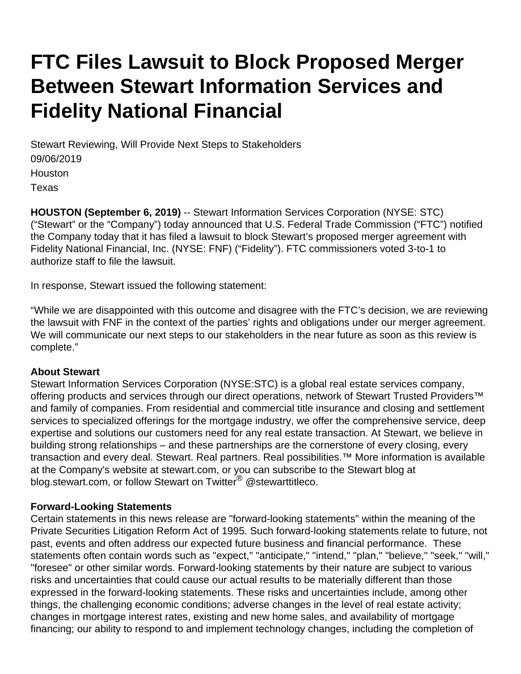## **FTC Files Lawsuit to Block Proposed Merger Between Stewart Information Services and Fidelity National Financial**

Stewart Reviewing, Will Provide Next Steps to Stakeholders 09/06/2019 **Houston** Texas

**HOUSTON (September 6, 2019)** -- Stewart Information Services Corporation (NYSE: STC) ("Stewart" or the "Company") today announced that U.S. Federal Trade Commission ("FTC") notified the Company today that it has filed a lawsuit to block Stewart's proposed merger agreement with Fidelity National Financial, Inc. (NYSE: FNF) ("Fidelity"). FTC commissioners voted 3-to-1 to authorize staff to file the lawsuit.

In response, Stewart issued the following statement:

"While we are disappointed with this outcome and disagree with the FTC's decision, we are reviewing the lawsuit with FNF in the context of the parties' rights and obligations under our merger agreement. We will communicate our next steps to our stakeholders in the near future as soon as this review is complete."

## **About Stewart**

Stewart Information Services Corporation (NYSE:STC) is a global real estate services company, offering products and services through our direct operations, network of Stewart Trusted Providers<sup>™</sup> and family of companies. From residential and commercial title insurance and closing and settlement services to specialized offerings for the mortgage industry, we offer the comprehensive service, deep expertise and solutions our customers need for any real estate transaction. At Stewart, we believe in building strong relationships – and these partnerships are the cornerstone of every closing, every transaction and every deal. Stewart. Real partners. Real possibilities.<sup>™</sup> More information is available at the Company's website at stewart.com, or you can subscribe to the Stewart blog at blog.stewart.com, or follow Stewart on Twitter<sup>®</sup> @stewarttitleco.

## **Forward-Looking Statements**

Certain statements in this news release are "forward-looking statements" within the meaning of the Private Securities Litigation Reform Act of 1995. Such forward-looking statements relate to future, not past, events and often address our expected future business and financial performance. These statements often contain words such as "expect," "anticipate," "intend," "plan," "believe," "seek," "will," "foresee" or other similar words. Forward-looking statements by their nature are subject to various risks and uncertainties that could cause our actual results to be materially different than those expressed in the forward-looking statements. These risks and uncertainties include, among other things, the challenging economic conditions; adverse changes in the level of real estate activity; changes in mortgage interest rates, existing and new home sales, and availability of mortgage financing; our ability to respond to and implement technology changes, including the completion of